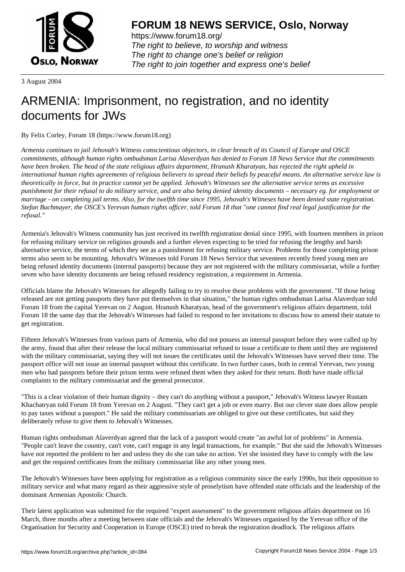

https://www.forum18.org/ The right to believe, to worship and witness The right to change one's belief or religion [The right to join together a](https://www.forum18.org/)nd express one's belief

3 August 2004

## [ARMENIA: Imp](https://www.forum18.org)risonment, no registration, and no identity documents for JWs

By Felix Corley, Forum 18 (https://www.forum18.org)

*Armenia continues to jail Jehovah's Witness conscientious objectors, in clear breach of its Council of Europe and OSCE commitments, although human rights ombudsman Larisa Alaverdyan has denied to Forum 18 News Service that the commitments have been broken. The head of the state religious affairs department, Hranush Kharatyan, has rejected the right upheld in international human rights agreements of religious believers to spread their beliefs by peaceful means. An alternative service law is theoretically in force, but in practice cannot yet be applied. Jehovah's Witnesses see the alternative service terms as excessive punishment for their refusal to do military service, and are also being denied identity documents – necessary eg. for employment or marriage - on completing jail terms. Also, for the twelfth time since 1995, Jehovah's Witneses have been denied state registration. Stefan Buchmayer, the OSCE's Yerevan human rights officer, told Forum 18 that "one cannot find real legal justification for the refusal."*

Armenia's Jehovah's Witness community has just received its twelfth registration denial since 1995, with fourteen members in prison for refusing military service on religious grounds and a further eleven expecting to be tried for refusing the lengthy and harsh alternative service, the terms of which they see as a punishment for refusing military service. Problems for those completing prison terms also seem to be mounting. Jehovah's Witnesses told Forum 18 News Service that seventeen recently freed young men are being refused identity documents (internal passports) because they are not registered with the military commissariat, while a further seven who have identity documents are being refused residency registration, a requirement in Armenia.

Officials blame the Jehovah's Witnesses for allegedly failing to try to resolve these problems with the government. "If those being released are not getting passports they have put themselves in that situation," the human rights ombudsman Larisa Alaverdyan told Forum 18 from the capital Yerevan on 2 August. Hranush Kharatyan, head of the government's religious affairs department, told Forum 18 the same day that the Jehovah's Witnesses had failed to respond to her invitations to discuss how to amend their statute to get registration.

Fifteen Jehovah's Witnesses from various parts of Armenia, who did not possess an internal passport before they were called up by the army, found that after their release the local military commissariat refused to issue a certificate to them until they are registered with the military commissariat, saying they will not issues the certificates until the Jehovah's Witnesses have served their time. The passport office will not issue an internal passport without this certificate. In two further cases, both in central Yerevan, two young men who had passports before their prison terms were refused them when they asked for their return. Both have made official complaints to the military commissariat and the general prosecutor.

"This is a clear violation of their human dignity – they can't do anything without a passport," Jehovah's Witness lawyer Rustam Khachatryan told Forum 18 from Yerevan on 2 August. "They can't get a job or even marry. But our clever state does allow people to pay taxes without a passport." He said the military commissariats are obliged to give out these certificates, but said they deliberately refuse to give them to Jehovah's Witnesses.

Human rights ombudsman Alaverdyan agreed that the lack of a passport would create "an awful lot of problems" in Armenia. "People can't leave the country, can't vote, can't engage in any legal transactions, for example." But she said the Jehovah's Witnesses have not reported the problem to her and unless they do she can take no action. Yet she insisted they have to comply with the law and get the required certificates from the military commissariat like any other young men.

The Jehovah's Witnesses have been applying for registration as a religious community since the early 1990s, but their opposition to military service and what many regard as their aggressive style of proselytism have offended state officials and the leadership of the dominant Armenian Apostolic Church.

Their latest application was submitted for the required "expert assessment" to the government religious affairs department on 16 March, three months after a meeting between state officials and the Jehovah's Witnesses organised by the Yerevan office of the Organisation for Security and Cooperation in Europe (OSCE) tried to break the registration deadlock. The religious affairs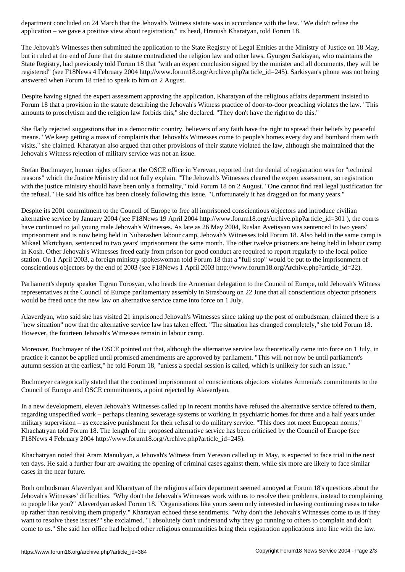application – we gave a positive view about registration," its head, Hranush Kharatyan, told Forum 18.

The Jehovah's Witnesses then submitted the application to the State Registry of Legal Entities at the Ministry of Justice on 18 May, but it ruled at the end of June that the statute contradicted the religion law and other laws. Gyurgen Sarkisyan, who maintains the State Registry, had previously told Forum 18 that "with an expert conclusion signed by the minister and all documents, they will be registered" (see F18News 4 February 2004 http://www.forum18.org/Archive.php?article\_id=245). Sarkisyan's phone was not being answered when Forum 18 tried to speak to him on 2 August.

Despite having signed the expert assessment approving the application, Kharatyan of the religious affairs department insisted to Forum 18 that a provision in the statute describing the Jehovah's Witness practice of door-to-door preaching violates the law. "This amounts to proselytism and the religion law forbids this," she declared. "They don't have the right to do this."

She flatly rejected suggestions that in a democratic country, believers of any faith have the right to spread their beliefs by peaceful means. "We keep getting a mass of complaints that Jehovah's Witnesses come to people's homes every day and bombard them with visits," she claimed. Kharatyan also argued that other provisions of their statute violated the law, although she maintained that the Jehovah's Witness rejection of military service was not an issue.

Stefan Buchmayer, human rights officer at the OSCE office in Yerevan, reported that the denial of registration was for "technical reasons" which the Justice Ministry did not fully explain. "The Jehovah's Witnesses cleared the expert assessment, so registration with the justice ministry should have been only a formality," told Forum 18 on 2 August. "One cannot find real legal justification for the refusal." He said his office has been closely following this issue. "Unfortunately it has dragged on for many years."

Despite its 2001 commitment to the Council of Europe to free all imprisoned conscientious objectors and introduce civilian alternative service by January 2004 (see F18News 19 April 2004 http://www.forum18.org/Archive.php?article\_id=301 ), the courts have continued to jail young male Jehovah's Witnesses. As late as 26 May 2004, Ruslan Avetisyan was sentenced to two years' imprisonment and is now being held in Nubarashen labour camp, Jehovah's Witnesses told Forum 18. Also held in the same camp is Mikael Mkrtchyan, sentenced to two years' imprisonment the same month. The other twelve prisoners are being held in labour camp in Kosh. Other Jehovah's Witnesses freed early from prison for good conduct are required to report regularly to the local police station. On 1 April 2003, a foreign ministry spokeswoman told Forum 18 that a "full stop" would be put to the imprisonment of conscientious objectors by the end of 2003 (see F18News 1 April 2003 http://www.forum18.org/Archive.php?article\_id=22).

Parliament's deputy speaker Tigran Torosyan, who heads the Armenian delegation to the Council of Europe, told Jehovah's Witness representatives at the Council of Europe parliamentary assembly in Strasbourg on 22 June that all conscientious objector prisoners would be freed once the new law on alternative service came into force on 1 July.

Alaverdyan, who said she has visited 21 imprisoned Jehovah's Witnesses since taking up the post of ombudsman, claimed there is a "new situation" now that the alternative service law has taken effect. "The situation has changed completely," she told Forum 18. However, the fourteen Jehovah's Witnesses remain in labour camp.

Moreover, Buchmayer of the OSCE pointed out that, although the alternative service law theoretically came into force on 1 July, in practice it cannot be applied until promised amendments are approved by parliament. "This will not now be until parliament's autumn session at the earliest," he told Forum 18, "unless a special session is called, which is unlikely for such an issue."

Buchmeyer categorically stated that the continued imprisonment of conscientious objectors violates Armenia's commitments to the Council of Europe and OSCE commitments, a point rejected by Alaverdyan.

In a new development, eleven Jehovah's Witnesses called up in recent months have refused the alternative service offered to them, regarding unspecified work – perhaps cleaning sewerage systems or working in psychiatric homes for three and a half years under military supervision – as excessive punishment for their refusal to do military service. "This does not meet European norms," Khachatryan told Forum 18. The length of the proposed alternative service has been criticised by the Council of Europe (see F18News 4 February 2004 http://www.forum18.org/Archive.php?article\_id=245).

Khachatryan noted that Aram Manukyan, a Jehovah's Witness from Yerevan called up in May, is expected to face trial in the next ten days. He said a further four are awaiting the opening of criminal cases against them, while six more are likely to face similar cases in the near future.

Both ombudsman Alaverdyan and Kharatyan of the religious affairs department seemed annoyed at Forum 18's questions about the Jehovah's Witnesses' difficulties. "Why don't the Jehovah's Witnesses work with us to resolve their problems, instead to complaining to people like you?" Alaverdyan asked Forum 18. "Organisations like yours seem only interested in having continuing cases to take up rather than resolving them properly." Kharatyan echoed these sentiments. "Why don't the Jehovah's Witnesses come to us if they want to resolve these issues?" she exclaimed. "I absolutely don't understand why they go running to others to complain and don't come to us." She said her office had helped other religious communities bring their registration applications into line with the law.